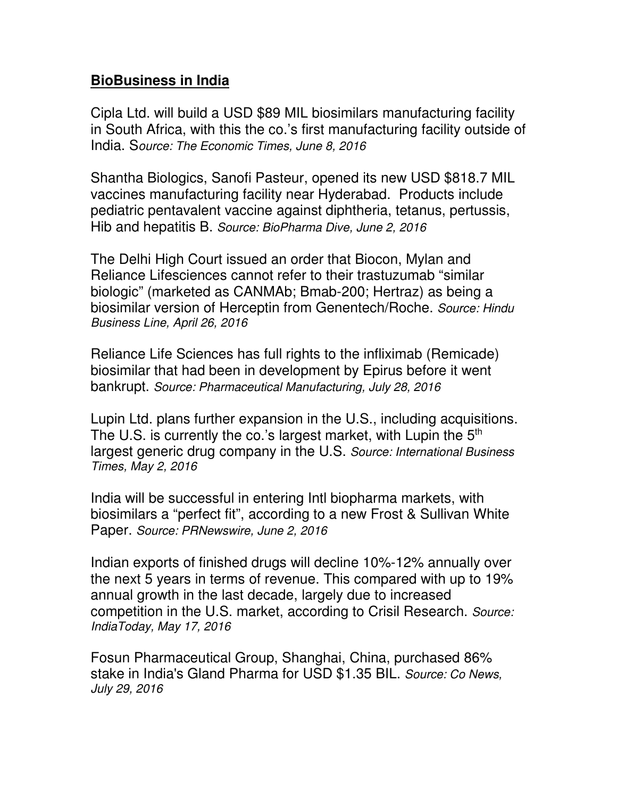## **BioBusiness in India**

Cipla Ltd. will build a USD \$89 MIL biosimilars manufacturing facility in South Africa, with this the co.'s first manufacturing facility outside of India. S*ource: The Economic Times, June 8, 2016*

Shantha Biologics, Sanofi Pasteur, opened its new USD \$818.7 MIL vaccines manufacturing facility near Hyderabad. Products include pediatric pentavalent vaccine against diphtheria, tetanus, pertussis, Hib and hepatitis B. *Source: BioPharma Dive, June 2, 2016*

The Delhi High Court issued an order that Biocon, Mylan and Reliance Lifesciences cannot refer to their trastuzumab "similar biologic" (marketed as CANMAb; Bmab-200; Hertraz) as being a biosimilar version of Herceptin from Genentech/Roche. *Source: Hindu Business Line, April 26, 2016*

Reliance Life Sciences has full rights to the infliximab (Remicade) biosimilar that had been in development by Epirus before it went bankrupt. *Source: Pharmaceutical Manufacturing, July 28, 2016*

Lupin Ltd. plans further expansion in the U.S., including acquisitions. The U.S. is currently the co.'s largest market, with Lupin the  $5<sup>th</sup>$ largest generic drug company in the U.S. *Source: International Business Times, May 2, 2016*

India will be successful in entering Intl biopharma markets, with biosimilars a "perfect fit", according to a new Frost & Sullivan White Paper. *Source: PRNewswire, June 2, 2016*

Indian exports of finished drugs will decline 10%-12% annually over the next 5 years in terms of revenue. This compared with up to 19% annual growth in the last decade, largely due to increased competition in the U.S. market, according to Crisil Research. *Source: IndiaToday, May 17, 2016* 

Fosun Pharmaceutical Group, Shanghai, China, purchased 86% stake in India's Gland Pharma for USD \$1.35 BIL. *Source: Co News, July 29, 2016*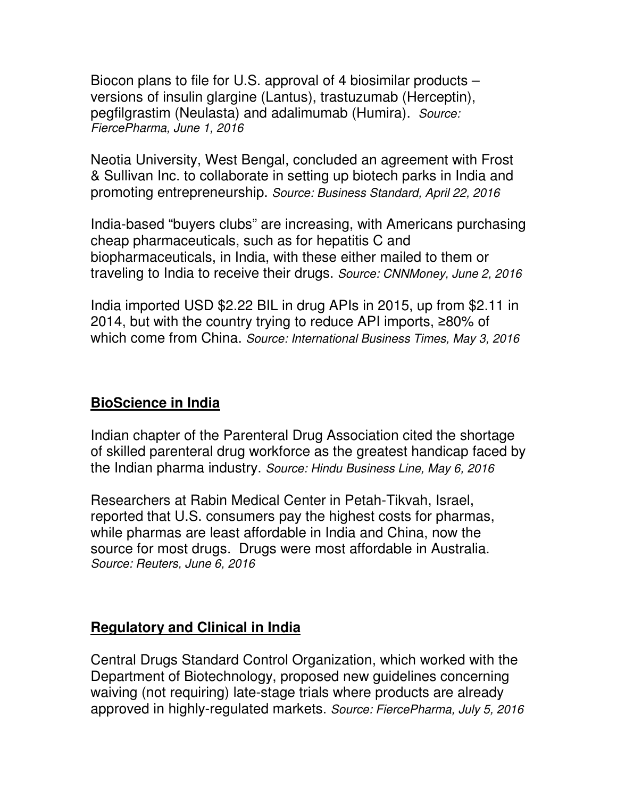Biocon plans to file for U.S. approval of 4 biosimilar products – versions of insulin glargine (Lantus), trastuzumab (Herceptin), pegfilgrastim (Neulasta) and adalimumab (Humira). *Source: FiercePharma, June 1, 2016*

Neotia University, West Bengal, concluded an agreement with Frost & Sullivan Inc. to collaborate in setting up biotech parks in India and promoting entrepreneurship. *Source: Business Standard, April 22, 2016*

India-based "buyers clubs" are increasing, with Americans purchasing cheap pharmaceuticals, such as for hepatitis C and biopharmaceuticals, in India, with these either mailed to them or traveling to India to receive their drugs. *Source: CNNMoney, June 2, 2016* 

India imported USD \$2.22 BIL in drug APIs in 2015, up from \$2.11 in 2014, but with the country trying to reduce API imports, ≥80% of which come from China. *Source: International Business Times, May 3, 2016*

## **BioScience in India**

Indian chapter of the Parenteral Drug Association cited the shortage of skilled parenteral drug workforce as the greatest handicap faced by the Indian pharma industry. *Source: Hindu Business Line, May 6, 2016* 

Researchers at Rabin Medical Center in Petah-Tikvah, Israel, reported that U.S. consumers pay the highest costs for pharmas, while pharmas are least affordable in India and China, now the source for most drugs. Drugs were most affordable in Australia. *Source: Reuters, June 6, 2016*

## **Regulatory and Clinical in India**

Central Drugs Standard Control Organization, which worked with the Department of Biotechnology, proposed new guidelines concerning waiving (not requiring) late-stage trials where products are already approved in highly-regulated markets. *Source: FiercePharma, July 5, 2016*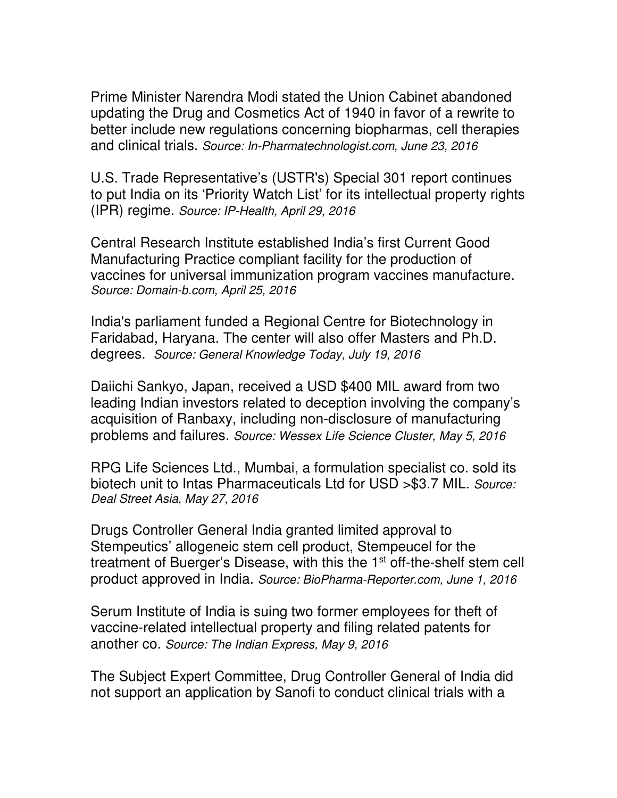Prime Minister Narendra Modi stated the Union Cabinet abandoned updating the Drug and Cosmetics Act of 1940 in favor of a rewrite to better include new regulations concerning biopharmas, cell therapies and clinical trials. *Source: In-Pharmatechnologist.com, June 23, 2016*

U.S. Trade Representative's (USTR's) Special 301 report continues to put India on its 'Priority Watch List' for its intellectual property rights (IPR) regime. *Source: IP-Health, April 29, 2016*

Central Research Institute established India's first Current Good Manufacturing Practice compliant facility for the production of vaccines for universal immunization program vaccines manufacture. *Source: Domain-b.com, April 25, 2016*

India's parliament funded a Regional Centre for Biotechnology in Faridabad, Haryana. The center will also offer Masters and Ph.D. degrees. *Source: General Knowledge Today, July 19, 2016*

Daiichi Sankyo, Japan, received a USD \$400 MIL award from two leading Indian investors related to deception involving the company's acquisition of Ranbaxy, including non-disclosure of manufacturing problems and failures. *Source: Wessex Life Science Cluster, May 5, 2016*

RPG Life Sciences Ltd., Mumbai, a formulation specialist co. sold its biotech unit to Intas Pharmaceuticals Ltd for USD >\$3.7 MIL. *Source: Deal Street Asia, May 27, 2016*

Drugs Controller General India granted limited approval to Stempeutics' allogeneic stem cell product, Stempeucel for the treatment of Buerger's Disease, with this the 1<sup>st</sup> off-the-shelf stem cell product approved in India. *Source: BioPharma-Reporter.com, June 1, 2016*

Serum Institute of India is suing two former employees for theft of vaccine-related intellectual property and filing related patents for another co. *Source: The Indian Express, May 9, 2016*

The Subject Expert Committee, Drug Controller General of India did not support an application by Sanofi to conduct clinical trials with a